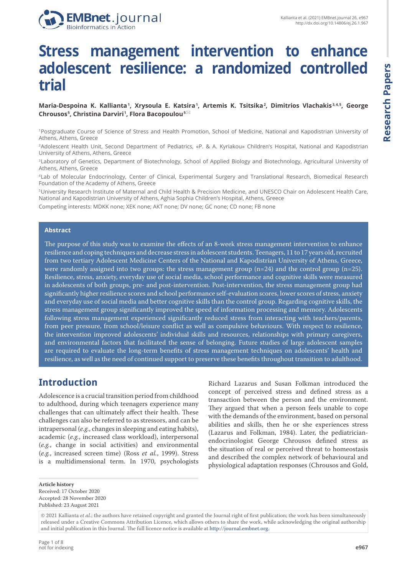

# **Stress management intervention to enhance adolescent resilience: a randomized controlled trial**

#### **Maria-Despoina K. Kallianta <sup>1</sup> , Xrysoula E. Katsira <sup>1</sup> , Artemis K. Tsitsika <sup>2</sup> , Dimitrios Vlachakis 3, 4, 5, George Chrousos<sup>5</sup>, Christina Darviri 1, Flora Bacopoulou 5**

<sup>1</sup>Postgraduate Course of Science of Stress and Health Promotion, School of Medicine, National and Kapodistrian University of Athens, Athens, Greece

<sup>2</sup>Adolescent Health Unit, Second Department of Pediatrics, «P. & A. Kyriakou» Children's Hospital, National and Kapodistrian University of Athens, Athens, Greece

<sup>3</sup>Laboratory of Genetics, Department of Biotechnology, School of Applied Biology and Biotechnology, Agricultural University of Athens, Athens, Greece

<sup>4</sup>Lab of Molecular Endocrinology, Center of Clinical, Experimental Surgery and Translational Research, Biomedical Research Foundation of the Academy of Athens, Greece

<sup>5</sup>University Research Institute of Maternal and Child Health & Precision Medicine, and UNESCO Chair on Adolescent Health Care, National and Kapodistrian University of Athens, Aghia Sophia Children's Hospital, Athens, Greece

Competing interests: MDKK none; XEK none; AKT none; DV none; GC none; CD none; FB none

#### **Abstract**

The purpose of this study was to examine the effects of an 8-week stress management intervention to enhance resilience and coping techniques and decrease stress in adolescent students. Teenagers, 11 to 17 years old, recruited from two tertiary Adolescent Medicine Centers of the National and Kapodistrian University of Athens, Greece, were randomly assigned into two groups: the stress management group (n=24) and the control group (n=25). Resilience, stress, anxiety, everyday use of social media, school performance and cognitive skills were measured in adolescents of both groups, pre- and post-intervention. Post-intervention, the stress management group had significantly higher resilience scores and school performance self-evaluation scores, lower scores of stress, anxiety and everyday use of social media and better cognitive skills than the control group. Regarding cognitive skills, the stress management group significantly improved the speed of information processing and memory. Adolescents following stress management experienced significantly reduced stress from interacting with teachers/parents, from peer pressure, from school/leisure conflict as well as compulsive behaviours. With respect to resilience, the intervention improved adolescents' individual skills and resources, relationships with primary caregivers, and environmental factors that facilitated the sense of belonging. Future studies of large adolescent samples are required to evaluate the long-term benefits of stress management techniques on adolescents' health and resilience, as well as the need of continued support to preserve these benefits throughout transition to adulthood.

### **Introduction**

Adolescence is a crucial transition period from childhood to adulthood, during which teenagers experience many challenges that can ultimately affect their health. These challenges can also be referred to as stressors, and can be intrapersonal (*e.g.*, changes in sleeping and eating habits), academic (*e.g.*, increased class workload), interpersonal (*e.g.*, change in social activities) and environmental (*e.g.*, increased screen time) (Ross *et al.*, 1999). Stress is a multidimensional term. In 1970, psychologists

Richard Lazarus and Susan Folkman introduced the concept of perceived stress and defined stress as a transaction between the person and the environment. They argued that when a person feels unable to cope with the demands of the environment, based on personal abilities and skills, then he or she experiences stress (Lazarus and Folkman, 1984). Later, the pediatricianendocrinologist George Chrousos defined stress as the situation of real or perceived threat to homeostasis and described the complex network of behavioural and physiological adaptation responses (Chrousos and Gold,

**Article history** Received: 17 October 2020 Accepted: 28 November 2020 Published: 23 August 2021

<sup>© 2021</sup> Kallianta *et al.*; the authors have retained copyright and granted the Journal right of first publication; the work has been simultaneously released under a Creative Commons Attribution Licence, which allows others to share the work, while acknowledging the original authorship and initial publication in this Journal. The full licence notice is available at http://journal.embnet.org.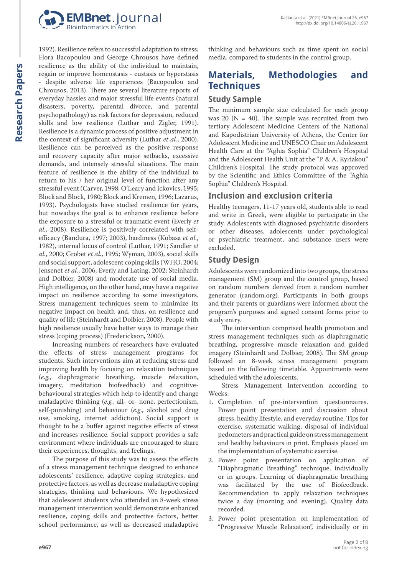

1992). Resilience refers to successful adaptation to stress; Flora Bacopoulou and George Chrousos have defined resilience as the ability of the individual to maintain, regain or improve homeostasis - eustasis or hyperstasis - despite adverse life experiences (Bacopoulou and Chrousos, 2013). There are several literature reports of everyday hassles and major stressful life events (natural disasters, poverty, parental divorce, and parental psychopathology) as risk factors for depression, reduced skills and low resilience (Luthar and Zigler, 1991). Resilience is a dynamic process of positive adjustment in the context of significant adversity (Luthar *et al.*, 2000). Resilience can be perceived as the positive response and recovery capacity after major setbacks, excessive demands, and intensely stressful situations. The main feature of resilience is the ability of the individual to return to his / her original level of function after any stressful event (Carver, 1998; O'Leary and Ickovics, 1995; Block and Block, 1980; Block and Kremen, 1996; Lazarus, 1993). Psychologists have studied resilience for years, but nowadays the goal is to enhance resilience before the exposure to a stressful or traumatic event (Everly *et al.*, 2008). Resilience is positively correlated with selfefficacy (Bandura, 1997; 2003), hardiness (Kobasa *et al.*, 1982), internal locus of control (Luthar, 1991; Sandler *et al.*, 2000; Grobet *et al.*, 1995; Wyman, 2003), social skills and social support, adolescent coping skills (WHO, 2004; Jensenet *et al.*, 2006; Everly and Lating, 2002; Steinhardt and Dolbier, 2008) and moderate use of social media. High intelligence, on the other hand, may have a negative impact on resilience according to some investigators. Stress management techniques seem to minimize its negative impact on health and, thus, on resilience and quality of life (Steinhardt and Dolbier, 2008). People with high resilience usually have better ways to manage their stress (coping process) (Frederickson, 2000).

Increasing numbers of researchers have evaluated the effects of stress management programs for students. Such interventions aim at reducing stress and improving health by focusing on relaxation techniques (*e.g.*, diaphragmatic breathing, muscle relaxation, imagery, meditation biofeedback) and cognitivebehavioural strategies which help to identify and change maladaptive thinking (*e.g.*, all- or- none, perfectionism, self-punishing) and behaviour (*e.g.*, alcohol and drug use, smoking, internet addiction). Social support is thought to be a buffer against negative effects of stress and increases resilience. Social support provides a safe environment where individuals are encouraged to share their experiences, thoughts, and feelings.

The purpose of this study was to assess the effects of a stress management technique designed to enhance adolescents' resilience, adaptive coping strategies, and protective factors, as well as decrease maladaptive coping strategies, thinking and behaviours. We hypothesized that adolescent students who attended an 8-week stress management intervention would demonstrate enhanced resilience, coping skills and protective factors, better school performance, as well as decreased maladaptive thinking and behaviours such as time spent on social media, compared to students in the control group.

# **Materials, Methodologies and Techniques**

### **Study Sample**

The minimum sample size calculated for each group was 20 ( $N = 40$ ). The sample was recruited from two tertiary Adolescent Medicine Centers of the National and Kapodistrian University of Athens, the Center for Adolescent Medicine and UNESCO Chair on Adolescent Health Care at the "Aghia Sophia" Children's Hospital and the Adolescent Health Unit at the "P. & A. Kyriakou" Children's Hospital. The study protocol was approved by the Scientific and Ethics Committee of the "Aghia Sophia" Children's Hospital.

## **Inclusion and exclusion criteria**

Healthy teenagers, 11-17 years old, students able to read and write in Greek, were eligible to participate in the study. Adolescents with diagnosed psychiatric disorders or other diseases, adolescents under psychological or psychiatric treatment, and substance users were excluded.

## **Study Design**

Adolescents were randomized into two groups, the stress management (SM) group and the control group, based on random numbers derived from a random number generator (random.org). Participants in both groups and their parents or guardians were informed about the program's purposes and signed consent forms prior to study entry.

The intervention comprised health promotion and stress management techniques such as diaphragmatic breathing, progressive muscle relaxation and guided imagery (Steinhardt and Dolbier, 2008). The SM group followed an 8-week stress management program based on the following timetable. Appointments were scheduled with the adolescents.

Stress Management Intervention according to Weeks:

- 1. Completion of pre-intervention questionnaires. Power point presentation and discussion about stress, healthy lifestyle, and everyday routine. Tips for exercise, systematic walking, disposal of individual pedometers and practical guide on stress management and healthy behaviours in print. Emphasis placed on the implementation of systematic exercise.
- 2. Power point presentation on application of "Diaphragmatic Breathing" technique, individually or in groups. Learning of diaphragmatic breathing was facilitated by the use of Biofeedback. Recommendation to apply relaxation techniques twice a day (morning and evening). Quality data recorded.
- 3. Power point presentation on implementation of "Progressive Muscle Relaxation", individually or in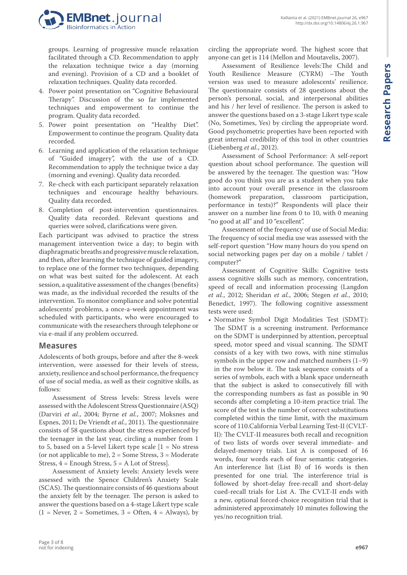

groups. Learning of progressive muscle relaxation facilitated through a CD. Recommendation to apply the relaxation technique twice a day (morning and evening). Provision of a CD and a booklet of relaxation techniques. Quality data recorded.

- 4. Power point presentation on "Cognitive Behavioural Therapy". Discussion of the so far implemented techniques and empowerment to continue the program. Quality data recorded.
- 5. Power point presentation on "Healthy Diet". Empowerment to continue the program. Quality data recorded.
- 6. Learning and application of the relaxation technique of "Guided imagery", with the use of a CD. Recommendation to apply the technique twice a day (morning and evening). Quality data recorded.
- 7. Re-check with each participant separately relaxation techniques and encourage healthy behaviours. Quality data recorded.
- 8. Completion of post-intervention questionnaires. Quality data recorded. Relevant questions and queries were solved, clarifications were given.

Each participant was advised to practice the stress management intervention twice a day; to begin with diaphragmatic breaths and progressive muscle relaxation, and then, after learning the technique of guided imagery, to replace one of the former two techniques, depending on what was best suited for the adolescent. At each session, a qualitative assessment of the changes (benefits) was made, as the individual recorded the results of the intervention. To monitor compliance and solve potential adolescents' problems, a once-a-week appointment was scheduled with participants, who were encouraged to communicate with the researchers through telephone or via e-mail if any problem occurred.

#### **Measures**

Adolescents of both groups, before and after the 8-week intervention, were assessed for their levels of stress, anxiety, resilience and school performance, the frequency of use of social media, as well as their cognitive skills, as follows:

Assessment of Stress levels: Stress levels were assessed with the Adolescent Stress Questionnaire (ASQ) (Darviri *et al.*, 2004; Byrne *et al.*, 2007; Moksnes and Espnes, 2011; De Vriendt *et al.*, 2011). The questionnaire consists of 58 questions about the stress experienced by the teenager in the last year, circling a number from 1 to 5, based on a 5-level Likert type scale [1 = No stress (or not applicable to me),  $2 =$  Some Stress,  $3 =$  Moderate Stress, 4 = Enough Stress, 5 = A Lot of Stress].

Assessment of Anxiety levels: Anxiety levels were assessed with the Spence Children's Anxiety Scale (SCAS). The questionnaire consists of 46 questions about the anxiety felt by the teenager. The person is asked to answer the questions based on a 4-stage Likert type scale  $(1 = \text{Never}, 2 = \text{Sometimes}, 3 = \text{Often}, 4 = \text{Always})$ , by Kallianta et al. (2021) EMBnet.journal 26, e967 <http://dx.doi.org/10.14806/ej.26.1.967>

Assessment of Resilience levels:The Child and Youth Resilience Measure (CYRM) –The Youth version was used to measure adolescents' resilience. The questionnaire consists of 28 questions about the person's personal, social, and interpersonal abilities and his / her level of resilience. The person is asked to answer the questions based on a 3-stage Likert type scale (No, Sometimes, Yes) by circling the appropriate word. Good psychometric properties have been reported with great internal credibility of this tool in other countries (Liebenberg *et al.*, 2012).

Assessment of School Performance: A self-report question about school performance. The question will be answered by the teenager. The question was: "How good do you think you are as a student when you take into account your overall presence in the classroom (homework preparation, classroom participation, performance in tests)?" Respondents will place their answer on a number line from 0 to 10, with 0 meaning "no good at all" and 10 "excellent".

Assessment of the frequency of use of Social Media: The frequency of social media use was assessed with the self-report question "How many hours do you spend on social networking pages per day on a mobile / tablet / computer?"

Assessment of Cognitive Skills: Cognitive tests assess cognitive skills such as memory, concentration, speed of recall and information processing (Langdon *et al.*, 2012; Sheridan *et al.*, 2006; Stegen *et al.*, 2010; Benedict, 1997). The following cognitive assessment tests were used:

• Normative Symbol Digit Modalities Test (SDMT): The SDMT is a screening instrument. Performance on the SDMT is underpinned by attention, perceptual speed, motor speed and visual scanning. The SDMT consists of a key with two rows, with nine stimulus symbols in the upper row and matched numbers  $(1-9)$ in the row below it. The task sequence consists of a series of symbols, each with a blank space underneath that the subject is asked to consecutively fill with the corresponding numbers as fast as possible in 90 seconds after completing a 10-item practice trial. The score of the test is the number of correct substitutions completed within the time limit, with the maximum score of 110.California Verbal Learning Test-II (CVLT-II): The CVLT-II measures both recall and recognition of two lists of words over several immediate- and delayed-memory trials. List A is composed of 16 words, four words each of four semantic categories. An interference list (List B) of 16 words is then presented for one trial. The interference trial is followed by short-delay free-recall and short-delay cued-recall trials for List A. The CVLT-ΙΙ ends with a new, optional forced-choice recognition trial that is administered approximately 10 minutes following the yes/no recognition trial.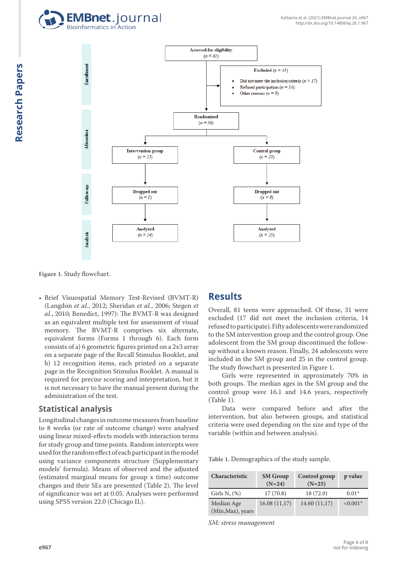



**Figure 1.** Study flowchart.

• Brief Visuospatial Memory Test-Revised (BVMT-R) (Langdon *et al.*, 2012; Sheridan *et al.*, 2006; Stegen *et al.*, 2010; Benedict, 1997): The BVMT-R was designed as an equivalent multiple test for assessment of visual memory. The BVMT-R comprises six alternate, equivalent forms (Forms 1 through 6). Each form consists of a) 6 geometric figures printed on a 2x3 array on a separate page of the Recall Stimulus Booklet, and b) 12 recognition items, each printed on a separate page in the Recognition Stimulus Booklet. A manual is required for precise scoring and interpretation, but it is not necessary to have the manual present during the administration of the test.

#### **Statistical analysis**

Longitudinal changes in outcome measures from baseline to 8 weeks (or rate of outcome change) were analysed using linear mixed-effects models with interaction terms for study group and time points. Random intercepts were used for the random effect of each participant in the model using variance components structure (Supplementary models' formula). Means of observed and the adjusted (estimated marginal means for group x time) outcome changes and their SEs are presented (Table 2). The level of significance was set at 0.05. Analyses were performed using SPSS version 22.0 (Chicago IL).

## **Results**

Overall, 81 teens were approached. Of these, 31 were excluded (17 did not meet the inclusion criteria, 14 refused to participate). Fifty adolescents were randomized to the SM intervention group and the control group. One adolescent from the SM group discontinued the followup without a known reason. Finally, 24 adolescents were included in the SM group and 25 in the control group. The study flowchart is presented in Figure 1.

Girls were represented in approximately 70% in both groups. The median ages in the SM group and the control group were 16.1 and 14.6 years, respectively (Table 1).

Data were compared before and after the intervention, but also between groups, and statistical criteria were used depending on the size and type of the variable (within and between analysis).

**Table 1.** Demographics of the study sample.

| Characteristic                  | <b>SM</b> Group<br>$(N=24)$ | Control group<br>$(N=25)$ | p value    |
|---------------------------------|-----------------------------|---------------------------|------------|
| Girls N, $(\%)$                 | 17(70.8)                    | 18(72.0)                  | $0.01*$    |
| Median Age<br>(Min, Max), years | 16.08(11,17)                | 14.60(11,17)              | $< 0.001*$ |

*SM: stress management*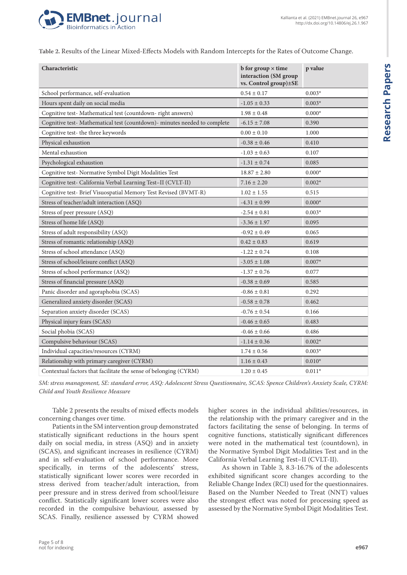

**Table 2.** Results of the Linear Mixed-Effects Models with Random Intercepts for the Rates of Outcome Change.

| Characteristic                                                           | $b$ for group $\times$ time<br>interaction (SM group<br>vs. Control group)±SE | p value  |
|--------------------------------------------------------------------------|-------------------------------------------------------------------------------|----------|
| School performance, self-evaluation                                      | $0.54 \pm 0.17$                                                               | $0.003*$ |
| Hours spent daily on social media                                        | $-1.05 \pm 0.33$                                                              | $0.003*$ |
| Cognitive test- Mathematical test (countdown-right answers)              | $1.98 \pm 0.48$                                                               | $0.000*$ |
| Cognitive test-Mathematical test (countdown)- minutes needed to complete | $-6.15 \pm 7.08$                                                              | 0.390    |
| Cognitive test- the three keywords                                       | $0.00 \pm 0.10$                                                               | 1.000    |
| Physical exhaustion                                                      | $-0.38 \pm 0.46$                                                              | 0.410    |
| Mental exhaustion                                                        | $-1.03 \pm 0.63$                                                              | 0.107    |
| Psychological exhaustion                                                 | $-1.31 \pm 0.74$                                                              | 0.085    |
| Cognitive test- Normative Symbol Digit Modalities Test                   | $18.87 \pm 2.80$                                                              | $0.000*$ |
| Cognitive test- California Verbal Learning Test-II (CVLT-II)             | $7.16 \pm 2.20$                                                               | $0.002*$ |
| Cognitive test- Brief Visuospatial Memory Test Revised (BVMT-R)          | $1.02 \pm 1.55$                                                               | 0.515    |
| Stress of teacher/adult interaction (ASQ)                                | $-4.31 \pm 0.99$                                                              | $0.000*$ |
| Stress of peer pressure (ASQ)                                            | $-2.54 \pm 0.81$                                                              | $0.003*$ |
| Stress of home life (ASQ)                                                | $-3.36 \pm 1.97$                                                              | 0.095    |
| Stress of adult responsibility (ASQ)                                     | $-0.92 \pm 0.49$                                                              | 0.065    |
| Stress of romantic relationship (ASQ)                                    | $0.42 \pm 0.83$                                                               | 0.619    |
| Stress of school attendance (ASQ)                                        | $-1.22 \pm 0.74$                                                              | 0.108    |
| Stress of school/leisure conflict (ASQ)                                  | $-3.05 \pm 1.08$                                                              | $0.007*$ |
| Stress of school performance (ASQ)                                       | $-1.37 \pm 0.76$                                                              | 0.077    |
| Stress of financial pressure (ASQ)                                       | $-0.38 \pm 0.69$                                                              | 0.585    |
| Panic disorder and agoraphobia (SCAS)                                    | $-0.86 \pm 0.81$                                                              | 0.292    |
| Generalized anxiety disorder (SCAS)                                      | $-0.58 \pm 0.78$                                                              | 0.462    |
| Separation anxiety disorder (SCAS)                                       | $-0.76 \pm 0.54$                                                              | 0.166    |
| Physical injury fears (SCAS)                                             | $-0.46 \pm 0.65$                                                              | 0.483    |
| Social phobia (SCAS)                                                     | $-0.46 \pm 0.66$                                                              | 0.486    |
| Compulsive behaviour (SCAS)                                              | $-1.14 \pm 0.36$                                                              | $0.002*$ |
| Individual capacities/resources (CYRM)                                   | $1.74 \pm 0.56$                                                               | $0.003*$ |
| Relationship with primary caregiver (CYRM)                               | $1.16 \pm 0.43$                                                               | $0.010*$ |
| Contextual factors that facilitate the sense of belonging (CYRM)         | $1.20 \pm 0.45$                                                               | $0.011*$ |

*SM: stress management, SE: standard error, ASQ: Adolescent Stress Questionnaire, SCAS: Spence Children's Anxiety Scale, CYRM: Child and Youth Resilience Measure*

Table 2 presents the results of mixed effects models concerning changes over time.

Patients in the SM intervention group demonstrated statistically significant reductions in the hours spent daily on social media, in stress (ASQ) and in anxiety (SCAS), and significant increases in resilience (CYRM) and in self-evaluation of school performance. More specifically, in terms of the adolescents' stress, statistically significant lower scores were recorded in stress derived from teacher/adult interaction, from peer pressure and in stress derived from school/leisure conflict. Statistically significant lower scores were also recorded in the compulsive behaviour, assessed by SCAS. Finally, resilience assessed by CYRM showed higher scores in the individual abilities/resources, in the relationship with the primary caregiver and in the factors facilitating the sense of belonging. In terms of cognitive functions, statistically significant differences were noted in the mathematical test (countdown), in the Normative Symbol Digit Modalities Test and in the California Verbal Learning Test–II (CVLT-II).

As shown in Table 3, 8.3-16.7% of the adolescents exhibited significant score changes according to the Reliable Change Index (RCI) used for the questionnaires. Based on the Number Needed to Treat (NNT) values the strongest effect was noted for processing speed as assessed by the Normative Symbol Digit Modalities Test.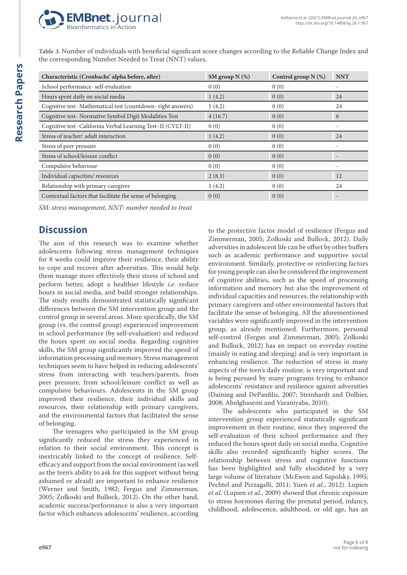

**Table 3.** Number of individuals with beneficial significant score changes according to the Reliable Change Index and the corresponding Number Needed to Treat (NNT) values.

| Characteristic (Cronbachs' alpha before, after)              | SM group $N$ (%) | Control group $N$ (%) | <b>NNT</b> |
|--------------------------------------------------------------|------------------|-----------------------|------------|
| School performance- self-evaluation                          | 0(0)             | 0(0)                  |            |
| Hours spent daily on social media                            | 1(4.2)           | 0(0)                  | 24         |
| Cognitive test-Mathematical test (countdown-right answers)   | 1(4.2)           | 0(0)                  | 24         |
| Cognitive test- Normative Symbol Digit Modalities Test       | 4(16.7)          | 0(0)                  | 6          |
| Cognitive test- California Verbal Learning Test-II (CVLT-II) | 0(0)             | 0(0)                  |            |
| Stress of teacher/ adult interaction                         | 1(4.2)           | 0(0)                  | 24         |
| Stress of peer pressure                                      | 0(0)             | 0(0)                  |            |
| Stress of school/leisure conflict                            | 0(0)             | 0(0)                  |            |
| Compulsive behaviour                                         | 0(0)             | 0(0)                  |            |
| Individual capacities/resources                              | 2(8.3)           | 0(0)                  | 12         |
| Relationship with primary caregiver                          | 1(4.2)           | 0(0)                  | 24         |
| Contextual factors that facilitate the sense of belonging    | 0(0)             | 0(0)                  |            |

*SM: stress management, NNT: number needed to treat*

# **Discussion**

The aim of this research was to examine whether adolescents following stress management techniques for 8 weeks could improve their resilience, their ability to cope and recover after adversities. This would help them manage more effectively their stress of school and perform better, adopt a healthier lifestyle *i.e.* reduce hours in social media, and build stronger relationships. The study results demonstrated statistically significant differences between the SM intervention group and the control group in several areas. More specifically, the SM group (vs. the control group) experienced improvement in school performance (by self-evaluation) and reduced the hours spent on social media. Regarding cognitive skills, the SM group significantly improved the speed of information processing and memory. Stress management techniques seem to have helped in reducing adolescents' stress from interacting with teachers/parents, from peer pressure, from school/leisure conflict as well as compulsive behaviours. Adolescents in the SM group improved their resilience, their individual skills and resources, their relationship with primary caregivers, and the environmental factors that facilitated the sense of belonging.

The teenagers who participated in the SM group significantly reduced the stress they experienced in relation to their social environment. This concept is inextricably linked to the concept of resilience. Selfefficacy and support from the social environment (as well as the teen's ability to ask for this support without being ashamed or afraid) are important to enhance resilience (Werner and Smith, 1982; Fergus and Zimmerman, 2005; Zolkoski and Bullock, 2012). On the other hand, academic success/performance is also a very important factor which enhances adolescents' resilience, according to the protective factor model of resilience (Fergus and Zimmerman, 2005; Zolkoski and Bullock, 2012). Daily adversities in adolescent life can be offset by other buffers such as academic performance and supportive social environment. Similarly, protective or reinforcing factors for young people can also be considered the improvement of cognitive abilities, such as the speed of processing information and memory but also the improvement of individual capacities and resources, the relationship with primary caregivers and other environmental factors that facilitate the sense of belonging. All the aforementioned variables were significantly improved in the intervention group, as already mentioned. Furthermore, personal self-control (Fergus and Zimmerman, 2005; Zolkoski and Bullock, 2012) has an impact on everyday routine (mainly in eating and sleeping) and is very important in enhancing resilience. The reduction of stress in many aspects of the teen's daily routine, is very important and is being pursued by many programs trying to enhance adolescents' resistance and resilience against adversities (Daining and DePanfilis, 2007; Steinhardt and Dolbier, 2008; Abolghasemi and Varaniyaba, 2010).

The adolescents who participated in the SM intervention group experienced statistically significant improvement in their routine, since they improved the self-evaluation of their school performance and they reduced the hours spent daily on social media. Cognitive skills also recorded significantly higher scores. The relationship between stress and cognitive functions has been highlighted and fully elucidated by a very large volume of literature (McEwen and Sapolsky, 1995; Pechtel and Pizzagalli, 2011; Yuen *et al.*, 2012). Lupien *et al.* (Lupien *et al.*, 2009) showed that chronic exposure to stress hormones during the prenatal period, infancy, childhood, adolescence, adulthood, or old age, has an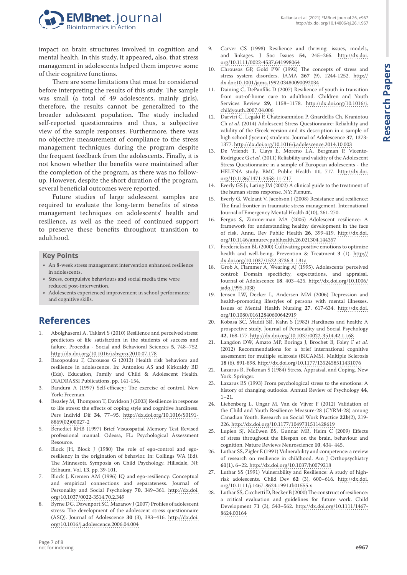**Research Papers**

**Research Papers** 



impact on brain structures involved in cognition and mental health. In this study, it appeared, also, that stress management in adolescents helped them improve some of their cognitive functions.

There are some limitations that must be considered before interpreting the results of this study. The sample was small (a total of 49 adolescents, mainly girls), therefore, the results cannot be generalized to the broader adolescent population. The study included self-reported questionnaires and thus, a subjective view of the sample responses. Furthermore, there was no objective measurement of compliance to the stress management techniques during the program despite the frequent feedback from the adolescents. Finally, it is not known whether the benefits were maintained after the completion of the program, as there was no followup. However, despite the short duration of the program, several beneficial outcomes were reported.

Future studies of large adolescent samples are required to evaluate the long-term benefits of stress management techniques on adolescents' health and resilience, as well as the need of continued support to preserve these benefits throughout transition to adulthood.

#### **Key Points**

- An 8-week stress management intervention enhanced resilience in adolescents.
- Stress, compulsive behaviours and social media time were reduced post-intervention.
- Adolescents experienced improvement in school performance and cognitive skills.

# **References**

- 1. Abolghasemi A, Taklavi S (2010) Resilience and perceived stress: predictors of life satisfaction in the students of success and failure. Procedia - Social and Behavioral Sciences **5**, 748–752. <http://dx.doi.org/10.1016/j.sbspro.2010.07.178>
- 2. Bacopoulou F, Chrousos G (2013) Health risk behaviors and resilience in adolescence. In: Antoniou AS and Kirkcaldy BD (Eds). Education, Family and Child & Adolescent Health. DIADRASSI Publications, pp. 141-154.
- 3. Bandura A (1997) Self-efficacy: The exercise of control. New York: Freeman.
- 4. Beasley M, Thompson T, Davidson J (2003) Resilience in response to life stress: the effects of coping style and cognitive hardiness. Pers Individ Dif **34**, 77–95. [http://dx.doi.org/10.1016/S0191-](http://dx.doi.org/10.1016/S0191-8869(02)00027-2) [8869\(02\)00027-2](http://dx.doi.org/10.1016/S0191-8869(02)00027-2)
- 5. Benedict RHB (1997) Brief Visuospatial Memory Test Revised professional manual. Odessa, FL: Psychological Assessment Resource.
- 6. Block JH, Block J (1980) The role of ego-control and egoresiliency in the origination of behavior. In: Collings WA (Ed). The Minnesota Symposia on Child Psychology. Hillsdale, NJ: Erlbaum, Vol. **13**, pp. 39-101.
- 7. Block J, Kremen AM (1996) IQ and ego-resiliency: Conceptual and empirical connections and separateness. Journal of Personality and Social Psychology **70**, 349–361. [http://dx.doi.](http://dx.doi.org/10.1037/0022-3514.70.2.349) [org/10.1037/0022-3514.70.2.349](http://dx.doi.org/10.1037/0022-3514.70.2.349)
- 8. Byrne DG, Davenport SC, Mazanov J (2007) Profiles of adolescent stress: The development of the adolescent stress questionnaire (ASQ). Journal of Adolescence **30** (3), 393–416. [http://dx.doi.](http://dx.doi.org/10.1016/j.adolescence.2006.04.004) [org/10.1016/j.adolescence.2006.04.004](http://dx.doi.org/10.1016/j.adolescence.2006.04.004)
- 9. Carver CS (1998) Resilience and thriving: issues, models, and linkages. J Soc Issues **54**, 245–266. [http://dx.doi.](http://dx.doi.org/10.1111/0022-4537.641998064) [org/10.1111/0022-4537.641998064](http://dx.doi.org/10.1111/0022-4537.641998064)
- 10. Chrousos GP, Gold PW (1992) The concepts of stress and stress system disorders. JAMA **267** (9), 1244-1252. [http://](http://dx.doi:10.1001/jama.1992.03480090092034) [dx.doi:10.1001/jama.1992.03480090092034](http://dx.doi:10.1001/jama.1992.03480090092034)
- 11. Daining C, DePanfilis D (2007) Resilience of youth in transition from out-of-home care to adulthood. Children and Youth Services Review **29**, 1158–1178. [http://dx.doi.org/10.1016/j.](http://dx.doi.org/10.1016/j.childyouth.2007.04.006) [childyouth.2007.04.006](http://dx.doi.org/10.1016/j.childyouth.2007.04.006)
- 12. Darviri C, Legaki P, Chatzioannidou P, Gnardellis Ch, Kraniotou Ch *et al.* (2014) Adolescent Stress Questionnaire: Reliability and validity of the Greek version and its description in a sample of high school (lyceum) students. Journal of Adolescence **37**, 1373- 1377. <http://dx.doi.org/10.1016/j.adolescence.2014.10.003>
- 13. De Vriendt T, Clays E, Moreno LA, Bergman P, Vicente-Rodriguez G *et al.* (2011) Reliability and validity of the Adolescent Stress Questionnaire in a sample of European adolescents - the HELENA study. BMC Public Health **11**, 717. [http://dx.doi.](http://dx.doi.org/10.1186/1471-2458-11-717) [org/10.1186/1471-2458-11-717](http://dx.doi.org/10.1186/1471-2458-11-717)
- 14. Everly GS Jr, Lating JM (2002) A clinical guide to the treatment of the human stress response. NY: Plenum.
- 15. Everly G, Welzant V, Jacobson J (2008) Resistance and resilience: The final frontier in traumatic stress management. International Journal of Emergency Mental Health **4**(10), 261-270.
- 16. Fergus S, Zimmerman MA (2005) Adolescent resilience: A framework for understanding healthy development in the face of risk. Annu. Rev Public Health **26**, 399-419. [http://dx.doi.](http://dx.doi.org/10.1146/annurev.publhealth.26.021304.144357) [org/10.1146/annurev.publhealth.26.021304.144357](http://dx.doi.org/10.1146/annurev.publhealth.26.021304.144357)
- 17. Frederickson BL (2000) Cultivating positive emotions to optimize health and well-being. Prevention & Treatment **3** (1). [http://](http://dx.doi.org/10.1037/1522-3736.3.1.31a) [dx.doi.org/10.1037/1522-3736.3.1.31a](http://dx.doi.org/10.1037/1522-3736.3.1.31a)
- 18. Grob A, Flammer A, Wearing AJ (1995). Adolescents' perceived control: Domain specificity, expectations, and appraisal. Journal of Adolescence **18**, 403–425. [http://dx.doi.org/10.1006/](http://dx.doi.org/10.1006/jado.1995.1030) [jado.1995.1030](http://dx.doi.org/10.1006/jado.1995.1030)
- 19. Jensen LW, Decker L, Andersen MM (2006) Depression and health-promoting lifestyles of persons with mental illnesses. Issues of Mental Health Nursing **27**, 617-634. [http://dx.doi.](http://dx.doi.org/10.1080/01612840600642919) [org/10.1080/01612840600642919](http://dx.doi.org/10.1080/01612840600642919)
- 20. Kobasa SC, Maddi SR, Kahn S (1982) Hardiness and health: A prospective study. Journal of Personality and Social Psychology **42**, 168-177. <http://dx.doi.org/10.1037/0022-3514.42.1.168>
- 21. Langdon DW, Amato MP, Boringa J, Brochet B, Foley F *et al.* (2012) Recommendations for a brief international cognitive assessment for multiple sclerosis (BICAMS). Multiple Sclerosis **18** (6), 891-898.<http://dx.doi.org/10.1177/1352458511431076>
- 22. Lazarus R, Folkman S (1984) Stress, Appraisal, and Coping. New York: Springer.
- 23. Lazarus RS (1993) From psychological stress to the emotions: A history of changing outlooks. Annual Review of Psychology **44**,  $1 - 21$
- 24. Liebenberg L, Ungar M, Van de Vijver F (2012) Validation of the Child and Youth Resilience Measure-28 (CYRM-28) among Canadian Youth. Research on Social Work Practice **22b**(2), 219- 226. <http://dx.doi.org/10.1177/1049731511428619>
- 25. Lupien SJ, McEwen BS, Gunnar MR, Heim C (2009) Effects of stress throughout the lifespan on the brain, behaviour and cognition. Nature Reviews Neuroscience **10**, 434- 445.
- 26. Luthar SS, Zigler E (1991) Vulnerability and competence: a review of research on resilience in childhood. Am J Orthopsychiatry **61**(1), 6–22. <http://dx.doi.org/10.1037/h0079218>
- 27. Luthar SS (1991) Vulnerability and Resilience: A study of highrisk adolescents. Child Dev **62** (3), 600–616. [http://dx.doi.](http://dx.doi.org/10.1111/j.1467-8624.1991.tb01555.x) [org/10.1111/j.1467-8624.1991.tb01555.x](http://dx.doi.org/10.1111/j.1467-8624.1991.tb01555.x)
- 28. Luthar SS, Cicchetti D, Becker B (2000) The construct of resilience: a critical evaluation and guidelines for future work. Child Development **71** (3), 543–562. [http://dx.doi.org/10.1111/1467-](http://dx.doi.org/10.1111/1467-8624.00164) [8624.00164](http://dx.doi.org/10.1111/1467-8624.00164)